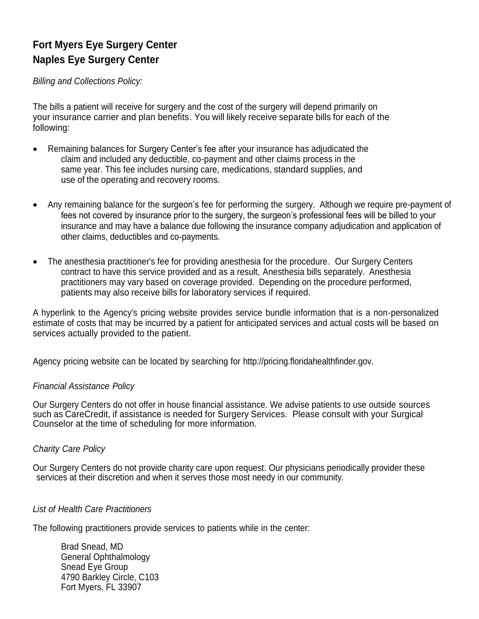# **Fort Myers Eye Surgery Center Naples Eye Surgery Center**

*Billing and Collections Policy:*

The bills a patient will receive for surgery and the cost of the surgery will depend primarily on your insurance carrier and plan benefits. You will likely receive separate bills for each of the following:

- Remaining balances for Surgery Center's fee after your insurance has adjudicated the claim and included any deductible, co-payment and other claims process in the same year. This fee includes nursing care, medications, standard supplies, and use of the operating and recovery rooms.
- Any remaining balance for the surgeon's fee for performing the surgery. Although we require pre-payment of fees not covered by insurance prior to the surgery, the surgeon's professional fees will be billed to your insurance and may have a balance due following the insurance company adjudication and application of other claims, deductibles and co-payments.
- The anesthesia practitioner's fee for providing anesthesia for the procedure. Our Surgery Centers contract to have this service provided and as a result, Anesthesia bills separately. Anesthesia practitioners may vary based on coverage provided. Depending on the procedure performed, patients may also receive bills for laboratory services if required.

A hyperlink to the Agency's pricing website provides service bundle information that is a non-personalized estimate of costs that may be incurred by a patient for anticipated services and actual costs will be based on services actually provided to the patient.

Agency pricing website can be located by searching for [http://pricing.floridahealthfinder.gov.](http://pricing.floridahealthfinder.gov/)

## *Financial Assistance Policy*

Our Surgery Centers do not offer in house financial assistance. We advise patients to use outside sources such as CareCredit, if assistance is needed for Surgery Services. Please consult with your Surgical Counselor at the time of scheduling for more information.

## *Charity Care Policy*

Our Surgery Centers do not provide charity care upon request. Our physicians periodically provider these services at their discretion and when it serves those most needy in our community.

## *List of Health Care Practitioners*

The following practitioners provide services to patients while in the center:

Brad Snead, MD General Ophthalmology Snead Eye Group 4790 Barkley Circle, C103 Fort Myers, FL 33907